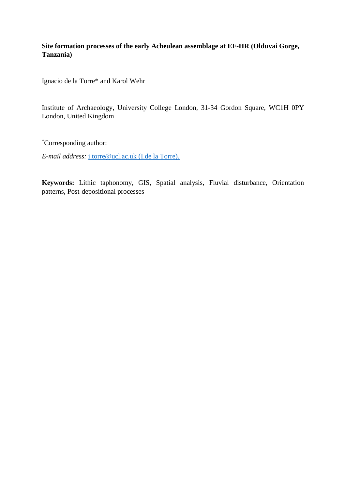# **Site formation processes of the early Acheulean assemblage at EF-HR (Olduvai Gorge, Tanzania)**

Ignacio de la Torre\* and Karol Wehr

Institute of Archaeology, University College London, 31-34 Gordon Square, WC1H 0PY London, United Kingdom

\*Corresponding author:

*E-mail address:* [i.torre@ucl.ac.uk](mailto:i.torre@ucl.ac.uk) (I.de la Torre).

**Keywords:** Lithic taphonomy, GIS, Spatial analysis, Fluvial disturbance, Orientation patterns, Post-depositional processes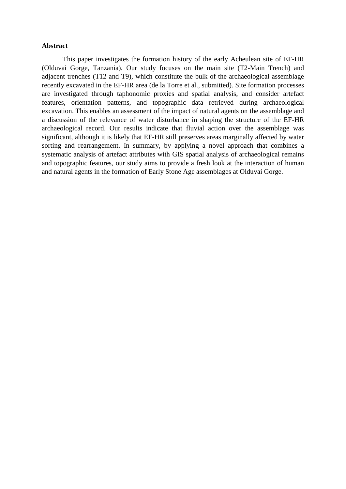### **Abstract**

This paper investigates the formation history of the early Acheulean site of EF-HR (Olduvai Gorge, Tanzania). Our study focuses on the main site (T2-Main Trench) and adjacent trenches (T12 and T9), which constitute the bulk of the archaeological assemblage recently excavated in the EF-HR area (de la Torre et al., submitted). Site formation processes are investigated through taphonomic proxies and spatial analysis, and consider artefact features, orientation patterns, and topographic data retrieved during archaeological excavation. This enables an assessment of the impact of natural agents on the assemblage and a discussion of the relevance of water disturbance in shaping the structure of the EF-HR archaeological record. Our results indicate that fluvial action over the assemblage was significant, although it is likely that EF-HR still preserves areas marginally affected by water sorting and rearrangement. In summary, by applying a novel approach that combines a systematic analysis of artefact attributes with GIS spatial analysis of archaeological remains and topographic features, our study aims to provide a fresh look at the interaction of human and natural agents in the formation of Early Stone Age assemblages at Olduvai Gorge.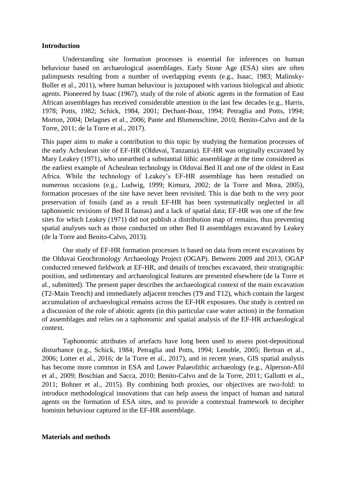### **Introduction**

Understanding site formation processes is essential for inferences on human behaviour based on archaeological assemblages. Early Stone Age (ESA) sites are often palimpsests resulting from a number of overlapping events (e.g., Isaac, 1983; Malinsky-Buller et al., 2011), where human behaviour is juxtaposed with various biological and abiotic agents. Pioneered by Isaac (1967), study of the role of abiotic agents in the formation of East African assemblages has received considerable attention in the last few decades (e.g., Harris, 1978; Potts, 1982; Schick, 1984, 2001; Dechant-Boaz, 1994; Petraglia and Potts, 1994; Morton, 2004; Delagnes et al., 2006; Pante and Blumenschine, 2010; Benito-Calvo and de la Torre, 2011; de la Torre et al., 2017).

This paper aims to make a contribution to this topic by studying the formation processes of the early Acheulean site of EF-HR (Olduvai, Tanzania). EF-HR was originally excavated by Mary Leakey (1971), who unearthed a substantial lithic assemblage at the time considered as the earliest example of Acheulean technology in Olduvai Bed II and one of the oldest in East Africa. While the technology of Leakey's EF-HR assemblage has been restudied on numerous occasions (e.g., Ludwig, 1999; Kimura, 2002; de la Torre and Mora, 2005), formation processes of the site have never been revisited. This is due both to the very poor preservation of fossils (and as a result EF-HR has been systematically neglected in all taphonomic revisions of Bed II faunas) and a lack of spatial data; EF-HR was one of the few sites for which Leakey (1971) did not publish a distribution map of remains, thus preventing spatial analyses such as those conducted on other Bed II assemblages excavated by Leakey (de la Torre and Benito-Calvo, 2013).

Our study of EF-HR formation processes is based on data from recent excavations by the Olduvai Geochronology Archaeology Project (OGAP). Between 2009 and 2013, OGAP conducted renewed fieldwork at EF-HR, and details of trenches excavated, their stratigraphic position, and sedimentary and archaeological features are presented elsewhere (de la Torre et al., submitted). The present paper describes the archaeological context of the main excavation (T2-Main Trench) and immediately adjacent trenches (T9 and T12), which contain the largest accumulation of archaeological remains across the EF-HR exposures. Our study is centred on a discussion of the role of abiotic agents (in this particular case water action) in the formation of assemblages and relies on a taphonomic and spatial analysis of the EF-HR archaeological context.

Taphonomic attributes of artefacts have long been used to assess post-depositional disturbance (e.g., Schick, 1984; Petraglia and Potts, 1994; Lenoble, 2005; Bertran et al., 2006; Lotter et al., 2016; de la Torre et al., 2017), and in recent years, GIS spatial analysis has become more common in ESA and Lower Palaeolithic archaeology (e.g., Alperson-Afil et al., 2009; Boschian and Sacca, 2010; Benito-Calvo and de la Torre, 2011; Gallotti et al., 2011; Bohner et al., 2015). By combining both proxies, our objectives are two-fold: to introduce methodological innovations that can help assess the impact of human and natural agents on the formation of ESA sites, and to provide a contextual framework to decipher hominin behaviour captured in the EF-HR assemblage.

## **Materials and methods**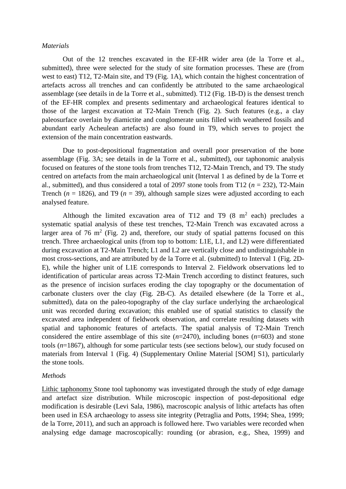### *Materials*

Out of the 12 trenches excavated in the EF-HR wider area (de la Torre et al., submitted), three were selected for the study of site formation processes. These are (from west to east) T12, T2-Main site, and T9 (Fig. 1A), which contain the highest concentration of artefacts across all trenches and can confidently be attributed to the same archaeological assemblage (see details in de la Torre et al., submitted). T12 (Fig. 1B-D) is the densest trench of the EF-HR complex and presents sedimentary and archaeological features identical to those of the largest excavation at T2-Main Trench (Fig. 2). Such features (e.g., a clay paleosurface overlain by diamictite and conglomerate units filled with weathered fossils and abundant early Acheulean artefacts) are also found in T9, which serves to project the extension of the main concentration eastwards.

Due to post-depositional fragmentation and overall poor preservation of the bone assemblage (Fig. 3A; see details in de la Torre et al., submitted), our taphonomic analysis focused on features of the stone tools from trenches T12, T2-Main Trench, and T9. The study centred on artefacts from the main archaeological unit (Interval 1 as defined by de la Torre et al., submitted), and thus considered a total of 2097 stone tools from T12 ( $n = 232$ ), T2-Main Trench ( $n = 1826$ ), and T9 ( $n = 39$ ), although sample sizes were adjusted according to each analysed feature.

Although the limited excavation area of T12 and T9  $(8 \text{ m}^2 \text{ each})$  precludes a systematic spatial analysis of these test trenches, T2-Main Trench was excavated across a larger area of 76  $m^2$  (Fig. 2) and, therefore, our study of spatial patterns focused on this trench. Three archaeological units (from top to bottom: L1E, L1, and L2) were differentiated during excavation at T2-Main Trench; L1 and L2 are vertically close and undistinguishable in most cross-sections, and are attributed by de la Torre et al. (submitted) to Interval 1 (Fig. 2D-E), while the higher unit of L1E corresponds to Interval 2. Fieldwork observations led to identification of particular areas across T2-Main Trench according to distinct features, such as the presence of incision surfaces eroding the clay topography or the documentation of carbonate clusters over the clay (Fig. 2B-C). As detailed elsewhere (de la Torre et al., submitted), data on the paleo-topography of the clay surface underlying the archaeological unit was recorded during excavation; this enabled use of spatial statistics to classify the excavated area independent of fieldwork observation, and correlate resulting datasets with spatial and taphonomic features of artefacts. The spatial analysis of T2-Main Trench considered the entire assemblage of this site (*n*=2470), including bones (*n*=603) and stone tools (*n*=1867), although for some particular tests (see sections below), our study focused on materials from Interval 1 (Fig. 4) (Supplementary Online Material [SOM] S1), particularly the stone tools.

## *Methods*

Lithic taphonomy Stone tool taphonomy was investigated through the study of edge damage and artefact size distribution. While microscopic inspection of post-depositional edge modification is desirable (Levi Sala, 1986), macroscopic analysis of lithic artefacts has often been used in ESA archaeology to assess site integrity (Petraglia and Potts, 1994; Shea, 1999; de la Torre, 2011), and such an approach is followed here. Two variables were recorded when analysing edge damage macroscopically: rounding (or abrasion, e.g., Shea, 1999) and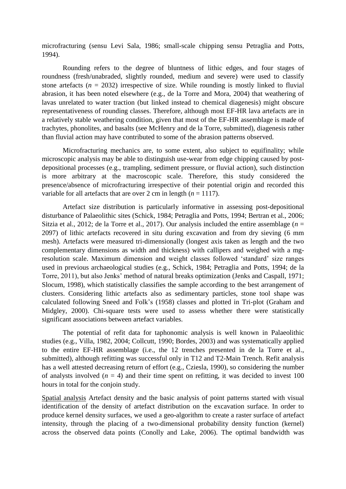microfracturing (sensu Levi Sala, 1986; small-scale chipping sensu Petraglia and Potts, 1994).

Rounding refers to the degree of bluntness of lithic edges, and four stages of roundness (fresh/unabraded, slightly rounded, medium and severe) were used to classify stone artefacts  $(n = 2032)$  irrespective of size. While rounding is mostly linked to fluvial abrasion, it has been noted elsewhere (e.g., de la Torre and Mora, 2004) that weathering of lavas unrelated to water traction (but linked instead to chemical diagenesis) might obscure representativeness of rounding classes. Therefore, although most EF-HR lava artefacts are in a relatively stable weathering condition, given that most of the EF-HR assemblage is made of trachytes, phonolites, and basalts (see McHenry and de la Torre, submitted), diagenesis rather than fluvial action may have contributed to some of the abrasion patterns observed.

Microfracturing mechanics are, to some extent, also subject to equifinality; while microscopic analysis may be able to distinguish use-wear from edge chipping caused by postdepositional processes (e.g., trampling, sediment pressure, or fluvial action), such distinction is more arbitrary at the macroscopic scale. Therefore, this study considered the presence/absence of microfracturing irrespective of their potential origin and recorded this variable for all artefacts that are over 2 cm in length  $(n = 1117)$ .

Artefact size distribution is particularly informative in assessing post-depositional disturbance of Palaeolithic sites (Schick, 1984; Petraglia and Potts, 1994; Bertran et al., 2006; Sitzia et al., 2012; de la Torre et al., 2017). Our analysis included the entire assemblage (*n* = 2097) of lithic artefacts recovered in situ during excavation and from dry sieving (6 mm mesh). Artefacts were measured tri-dimensionally (longest axis taken as length and the two complementary dimensions as width and thickness) with callipers and weighed with a mgresolution scale. Maximum dimension and weight classes followed 'standard' size ranges used in previous archaeological studies (e.g., Schick, 1984; Petraglia and Potts, 1994; de la Torre, 2011), but also Jenks' method of natural breaks optimization (Jenks and Caspall, 1971; Slocum, 1998), which statistically classifies the sample according to the best arrangement of clusters. Considering lithic artefacts also as sedimentary particles, stone tool shape was calculated following Sneed and Folk's (1958) classes and plotted in Tri-plot (Graham and Midgley, 2000). Chi-square tests were used to assess whether there were statistically significant associations between artefact variables.

The potential of refit data for taphonomic analysis is well known in Palaeolithic studies (e.g., Villa, 1982, 2004; Collcutt, 1990; Bordes, 2003) and was systematically applied to the entire EF-HR assemblage (i.e., the 12 trenches presented in de la Torre et al., submitted), although refitting was successful only in T12 and T2-Main Trench. Refit analysis has a well attested decreasing return of effort (e.g., Cziesla, 1990), so considering the number of analysts involved  $(n = 4)$  and their time spent on refitting, it was decided to invest 100 hours in total for the conjoin study.

Spatial analysis Artefact density and the basic analysis of point patterns started with visual identification of the density of artefact distribution on the excavation surface. In order to produce kernel density surfaces, we used a geo-algorithm to create a raster surface of artefact intensity, through the placing of a two-dimensional probability density function (kernel) across the observed data points (Conolly and Lake, 2006). The optimal bandwidth was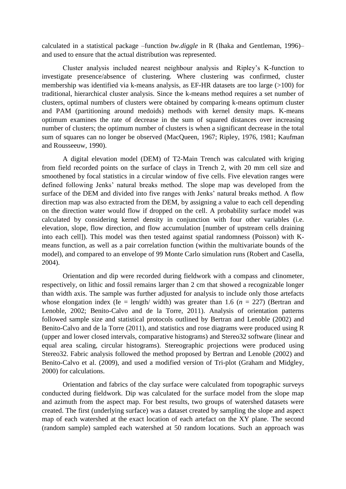calculated in a statistical package –function *bw.diggle* in R (Ihaka and Gentleman, 1996)– and used to ensure that the actual distribution was represented.

Cluster analysis included nearest neighbour analysis and Ripley's K-function to investigate presence/absence of clustering. Where clustering was confirmed, cluster membership was identified via k-means analysis, as EF-HR datasets are too large (>100) for traditional, hierarchical cluster analysis. Since the k-means method requires a set number of clusters, optimal numbers of clusters were obtained by comparing k-means optimum cluster and PAM (partitioning around medoids) methods with kernel density maps. K-means optimum examines the rate of decrease in the sum of squared distances over increasing number of clusters; the optimum number of clusters is when a significant decrease in the total sum of squares can no longer be observed (MacQueen, 1967; Ripley, 1976, 1981; Kaufman and Rousseeuw, 1990).

A digital elevation model (DEM) of T2-Main Trench was calculated with kriging from field recorded points on the surface of clays in Trench 2, with 20 mm cell size and smoothened by focal statistics in a circular window of five cells. Five elevation ranges were defined following Jenks' natural breaks method. The slope map was developed from the surface of the DEM and divided into five ranges with Jenks' natural breaks method. A flow direction map was also extracted from the DEM, by assigning a value to each cell depending on the direction water would flow if dropped on the cell. A probability surface model was calculated by considering kernel density in conjunction with four other variables (i.e. elevation, slope, flow direction, and flow accumulation [number of upstream cells draining into each cell]). This model was then tested against spatial randomness (Poisson) with Kmeans function, as well as a pair correlation function (within the multivariate bounds of the model), and compared to an envelope of 99 Monte Carlo simulation runs (Robert and Casella, 2004).

Orientation and dip were recorded during fieldwork with a compass and clinometer, respectively, on lithic and fossil remains larger than 2 cm that showed a recognizable longer than width axis. The sample was further adjusted for analysis to include only those artefacts whose elongation index (Ie = length/ width) was greater than 1.6 ( $n = 227$ ) (Bertran and Lenoble, 2002; Benito-Calvo and de la Torre, 2011). Analysis of orientation patterns followed sample size and statistical protocols outlined by Bertran and Lenoble (2002) and Benito-Calvo and de la Torre (2011), and statistics and rose diagrams were produced using R (upper and lower closed intervals, comparative histograms) and Stereo32 software (linear and equal area scaling, circular histograms). Stereographic projections were produced using Stereo32. Fabric analysis followed the method proposed by Bertran and Lenoble (2002) and Benito-Calvo et al. (2009), and used a modified version of Tri-plot (Graham and Midgley, 2000) for calculations.

Orientation and fabrics of the clay surface were calculated from topographic surveys conducted during fieldwork. Dip was calculated for the surface model from the slope map and azimuth from the aspect map. For best results, two groups of watershed datasets were created. The first (underlying surface) was a dataset created by sampling the slope and aspect map of each watershed at the exact location of each artefact on the XY plane. The second (random sample) sampled each watershed at 50 random locations. Such an approach was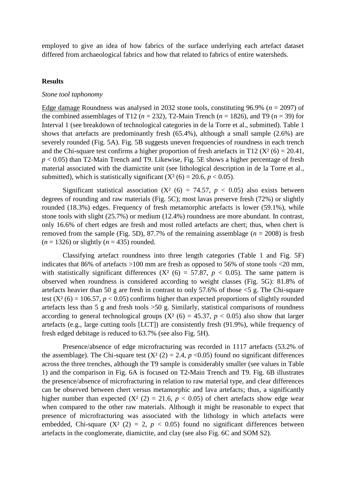employed to give an idea of how fabrics of the surface underlying each artefact dataset differed from archaeological fabrics and how that related to fabrics of entire watersheds.

#### **Results**

#### *Stone tool taphonomy*

Edge damage Roundness was analysed in 2032 stone tools, constituting 96.9% (*n* = 2097) of the combined assemblages of T12 ( $n = 232$ ), T2-Main Trench ( $n = 1826$ ), and T9 ( $n = 39$ ) for Interval 1 (see breakdown of technological categories in de la Torre et al., submitted). Table 1 shows that artefacts are predominantly fresh (65.4%), although a small sample (2.6%) are severely rounded (Fig. 5A). Fig. 5B suggests uneven frequencies of roundness in each trench and the Chi-square test confirms a higher proportion of fresh artefacts in T12 ( $X^2$  (6) = 20.41, *p* < 0.05) than T2-Main Trench and T9. Likewise, Fig. 5E shows a higher percentage of fresh material associated with the diamictite unit (see lithological description in de la Torre et al., submitted), which is statistically significant  $(X^2(6) = 20.6, p < 0.05)$ .

Significant statistical association  $(X^2 (6) = 74.57, p < 0.05)$  also exists between degrees of rounding and raw materials (Fig. 5C); most lavas preserve fresh (72%) or slightly rounded (18.3%) edges. Frequency of fresh metamorphic artefacts is lower (59.1%), while stone tools with slight (25.7%) or medium (12.4%) roundness are more abundant. In contrast, only 16.6% of chert edges are fresh and most rolled artefacts are chert; thus, when chert is removed from the sample (Fig. 5D), 87.7% of the remaining assemblage  $(n = 2008)$  is fresh  $(n = 1326)$  or slightly  $(n = 435)$  rounded.

Classifying artefact roundness into three length categories (Table 1 and Fig. 5F) indicates that 86% of artefacts >100 mm are fresh as opposed to 56% of stone tools <20 mm, with statistically significant differences  $(X^2 (6) = 57.87, p < 0.05)$ . The same pattern is observed when roundness is considered according to weight classes (Fig. 5G): 81.8% of artefacts heavier than 50 g are fresh in contrast to only 57.6% of those  $\leq$  5 g. The Chi-square test  $(X^2(6) = 106.57, p < 0.05)$  confirms higher than expected proportions of slightly rounded artefacts less than 5 g and fresh tools >50 g. Similarly, statistical comparisons of roundness according to general technological groups  $(X^2(6) = 45.37, p < 0.05)$  also show that larger artefacts (e.g., large cutting tools [LCT]) are consistently fresh (91.9%), while frequency of fresh edged debitage is reduced to 63.7% (see also Fig. 5H).

Presence/absence of edge microfracturing was recorded in 1117 artefacts (53.2% of the assemblage). The Chi-square test  $(X^2 (2) = 2.4, p < 0.05)$  found no significant differences across the three trenches, although the T9 sample is considerably smaller (see values in Table 1) and the comparison in Fig. 6A is focused on T2-Main Trench and T9. Fig. 6B illustrates the presence/absence of microfracturing in relation to raw material type, and clear differences can be observed between chert versus metamorphic and lava artefacts; thus, a significantly higher number than expected  $(X^2 (2) = 21.6, p < 0.05)$  of chert artefacts show edge wear when compared to the other raw materials. Although it might be reasonable to expect that presence of microfracturing was associated with the lithology in which artefacts were embedded, Chi-square  $(X^2 (2) = 2, p < 0.05)$  found no significant differences between artefacts in the conglomerate, diamictite, and clay (see also Fig. 6C and SOM S2).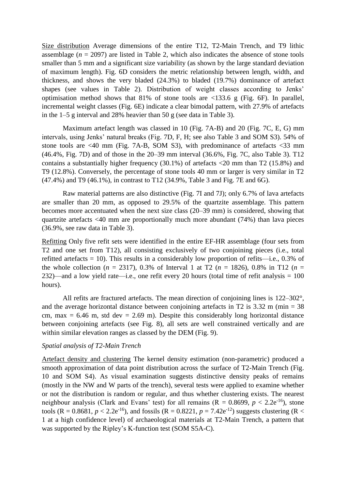Size distribution Average dimensions of the entire T12, T2-Main Trench, and T9 lithic assemblage  $(n = 2097)$  are listed in Table 2, which also indicates the absence of stone tools smaller than 5 mm and a significant size variability (as shown by the large standard deviation of maximum length). Fig. 6D considers the metric relationship between length, width, and thickness, and shows the very bladed (24.3%) to bladed (19.7%) dominance of artefact shapes (see values in Table 2). Distribution of weight classes according to Jenks' optimisation method shows that 81% of stone tools are <133.6 g (Fig. 6F). In parallel, incremental weight classes (Fig. 6E) indicate a clear bimodal pattern, with 27.9% of artefacts in the 1–5 g interval and 28% heavier than 50 g (see data in Table 3).

Maximum artefact length was classed in 10 (Fig. 7A-B) and 20 (Fig. 7C, E, G) mm intervals, using Jenks' natural breaks (Fig. 7D, F, H; see also Table 3 and SOM S3). 54% of stone tools are <40 mm (Fig. 7A-B, SOM S3), with predominance of artefacts <33 mm (46.4%, Fig. 7D) and of those in the 20–39 mm interval (36.6%, Fig. 7C, also Table 3). T12 contains a substantially higher frequency (30.1%) of artefacts <20 mm than T2 (15.8%) and T9 (12.8%). Conversely, the percentage of stone tools 40 mm or larger is very similar in T2 (47.4%) and T9 (46.1%), in contrast to T12 (34.9%, Table 3 and Fig. 7E and 6G).

Raw material patterns are also distinctive (Fig. 7I and 7J); only 6.7% of lava artefacts are smaller than 20 mm, as opposed to 29.5% of the quartzite assemblage. This pattern becomes more accentuated when the next size class (20–39 mm) is considered, showing that quartzite artefacts <40 mm are proportionally much more abundant (74%) than lava pieces (36.9%, see raw data in Table 3).

Refitting Only five refit sets were identified in the entire EF-HR assemblage (four sets from T2 and one set from T12), all consisting exclusively of two conjoining pieces (i.e., total refitted artefacts = 10). This results in a considerably low proportion of refits—i.e., 0.3% of the whole collection ( $n = 2317$ ), 0.3% of Interval 1 at T2 ( $n = 1826$ ), 0.8% in T12 ( $n =$ 232)—and a low yield rate—i.e., one refit every 20 hours (total time of refit analysis  $= 100$ hours).

All refits are fractured artefacts. The mean direction of conjoining lines is 122–302°, and the average horizontal distance between conjoining artefacts in T2 is  $3.32 \text{ m (min} = 38$ cm, max  $= 6.46$  m, std dev  $= 2.69$  m). Despite this considerably long horizontal distance between conjoining artefacts (see Fig. 8), all sets are well constrained vertically and are within similar elevation ranges as classed by the DEM (Fig. 9).

## *Spatial analysis of T2-Main Trench*

Artefact density and clustering The kernel density estimation (non-parametric) produced a smooth approximation of data point distribution across the surface of T2-Main Trench (Fig. 10 and SOM S4). As visual examination suggests distinctive density peaks of remains (mostly in the NW and W parts of the trench), several tests were applied to examine whether or not the distribution is random or regular, and thus whether clustering exists. The nearest neighbour analysis (Clark and Evans' test) for all remains  $(R = 0.8699, p < 2.2e^{-16})$ , stone tools (R = 0.8681,  $p < 2.2e^{-16}$ ), and fossils (R = 0.8221,  $p = 7.42e^{-12}$ ) suggests clustering (R < 1 at a high confidence level) of archaeological materials at T2-Main Trench, a pattern that was supported by the Ripley's K-function test (SOM S5A-C).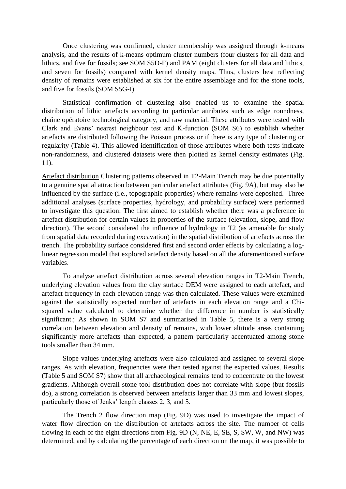Once clustering was confirmed, cluster membership was assigned through k-means analysis, and the results of k-means optimum cluster numbers (four clusters for all data and lithics, and five for fossils; see SOM S5D-F) and PAM (eight clusters for all data and lithics, and seven for fossils) compared with kernel density maps. Thus, clusters best reflecting density of remains were established at six for the entire assemblage and for the stone tools, and five for fossils (SOM S5G-I).

Statistical confirmation of clustering also enabled us to examine the spatial distribution of lithic artefacts according to particular attributes such as edge roundness, chaîne opératoire technological category, and raw material. These attributes were tested with Clark and Evans' nearest neighbour test and K-function (SOM S6) to establish whether artefacts are distributed following the Poisson process or if there is any type of clustering or regularity (Table 4). This allowed identification of those attributes where both tests indicate non-randomness, and clustered datasets were then plotted as kernel density estimates (Fig. 11).

Artefact distribution Clustering patterns observed in T2-Main Trench may be due potentially to a genuine spatial attraction between particular artefact attributes (Fig. 9A), but may also be influenced by the surface (i.e., topographic properties) where remains were deposited. Three additional analyses (surface properties, hydrology, and probability surface) were performed to investigate this question. The first aimed to establish whether there was a preference in artefact distribution for certain values in properties of the surface (elevation, slope, and flow direction). The second considered the influence of hydrology in T2 (as amenable for study from spatial data recorded during excavation) in the spatial distribution of artefacts across the trench. The probability surface considered first and second order effects by calculating a loglinear regression model that explored artefact density based on all the aforementioned surface variables.

To analyse artefact distribution across several elevation ranges in T2-Main Trench, underlying elevation values from the clay surface DEM were assigned to each artefact, and artefact frequency in each elevation range was then calculated. These values were examined against the statistically expected number of artefacts in each elevation range and a Chisquared value calculated to determine whether the difference in number is statistically significant.; As shown in SOM S7 and summarised in Table 5, there is a very strong correlation between elevation and density of remains, with lower altitude areas containing significantly more artefacts than expected, a pattern particularly accentuated among stone tools smaller than 34 mm.

Slope values underlying artefacts were also calculated and assigned to several slope ranges. As with elevation, frequencies were then tested against the expected values. Results (Table 5 and SOM S7) show that all archaeological remains tend to concentrate on the lowest gradients. Although overall stone tool distribution does not correlate with slope (but fossils do), a strong correlation is observed between artefacts larger than 33 mm and lowest slopes, particularly those of Jenks' length classes 2, 3, and 5.

The Trench 2 flow direction map (Fig. 9D) was used to investigate the impact of water flow direction on the distribution of artefacts across the site. The number of cells flowing in each of the eight directions from Fig. 9D (N, NE, E, SE, S, SW, W, and NW) was determined, and by calculating the percentage of each direction on the map, it was possible to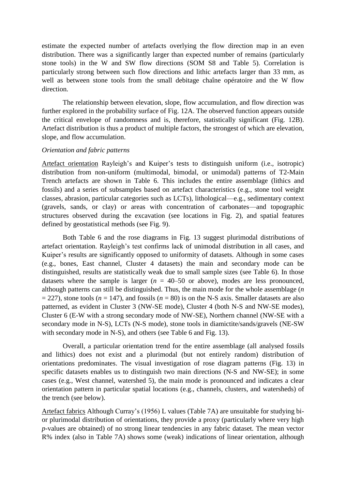estimate the expected number of artefacts overlying the flow direction map in an even distribution. There was a significantly larger than expected number of remains (particularly stone tools) in the W and SW flow directions (SOM S8 and Table 5). Correlation is particularly strong between such flow directions and lithic artefacts larger than 33 mm, as well as between stone tools from the small debitage chaîne opératoire and the W flow direction.

The relationship between elevation, slope, flow accumulation, and flow direction was further explored in the probability surface of Fig. 12A. The observed function appears outside the critical envelope of randomness and is, therefore, statistically significant (Fig. 12B). Artefact distribution is thus a product of multiple factors, the strongest of which are elevation, slope, and flow accumulation.

#### *Orientation and fabric patterns*

Artefact orientation Rayleigh's and Kuiper's tests to distinguish uniform (i.e., isotropic) distribution from non-uniform (multimodal, bimodal, or unimodal) patterns of T2-Main Trench artefacts are shown in Table 6. This includes the entire assemblage (lithics and fossils) and a series of subsamples based on artefact characteristics (e.g., stone tool weight classes, abrasion, particular categories such as LCTs), lithological—e.g., sedimentary context (gravels, sands, or clay) or areas with concentration of carbonates—and topographic structures observed during the excavation (see locations in Fig. 2), and spatial features defined by geostatistical methods (see Fig. 9).

Both Table 6 and the rose diagrams in Fig. 13 suggest plurimodal distributions of artefact orientation. Rayleigh's test confirms lack of unimodal distribution in all cases, and Kuiper's results are significantly opposed to uniformity of datasets. Although in some cases (e.g., bones, East channel, Cluster 4 datasets) the main and secondary mode can be distinguished, results are statistically weak due to small sample sizes (see Table 6). In those datasets where the sample is larger  $(n = 40-50)$  or above), modes are less pronounced, although patterns can still be distinguished. Thus, the main mode for the whole assemblage (*n*  $= 227$ ), stone tools ( $n = 147$ ), and fossils ( $n = 80$ ) is on the N-S axis. Smaller datasets are also patterned, as evident in Cluster 3 (NW-SE mode), Cluster 4 (both N-S and NW-SE modes), Cluster 6 (E-W with a strong secondary mode of NW-SE), Northern channel (NW-SE with a secondary mode in N-S), LCTs (N-S mode), stone tools in diamictite/sands/gravels (NE-SW with secondary mode in N-S), and others (see Table 6 and Fig. 13).

Overall, a particular orientation trend for the entire assemblage (all analysed fossils and lithics) does not exist and a plurimodal (but not entirely random) distribution of orientations predominates. The visual investigation of rose diagram patterns (Fig. 13) in specific datasets enables us to distinguish two main directions (N-S and NW-SE); in some cases (e.g., West channel, watershed 5), the main mode is pronounced and indicates a clear orientation pattern in particular spatial locations (e.g., channels, clusters, and watersheds) of the trench (see below).

Artefact fabrics Although Curray's (1956) L values (Table 7A) are unsuitable for studying bior plurimodal distribution of orientations, they provide a proxy (particularly where very high *p*-values are obtained) of no strong linear tendencies in any fabric dataset. The mean vector R% index (also in Table 7A) shows some (weak) indications of linear orientation, although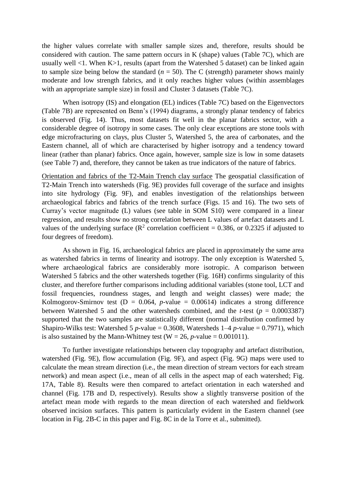the higher values correlate with smaller sample sizes and, therefore, results should be considered with caution. The same pattern occurs in K (shape) values (Table 7C), which are usually well <1. When K>1, results (apart from the Watershed 5 dataset) can be linked again to sample size being below the standard  $(n = 50)$ . The C (strength) parameter shows mainly moderate and low strength fabrics, and it only reaches higher values (within assemblages with an appropriate sample size) in fossil and Cluster 3 datasets (Table 7C).

When isotropy (IS) and elongation (EL) indices (Table 7C) based on the Eigenvectors (Table 7B) are represented on Benn's (1994) diagrams, a strongly planar tendency of fabrics is observed (Fig. 14). Thus, most datasets fit well in the planar fabrics sector, with a considerable degree of isotropy in some cases. The only clear exceptions are stone tools with edge microfracturing on clays, plus Cluster 5, Watershed 5, the area of carbonates, and the Eastern channel, all of which are characterised by higher isotropy and a tendency toward linear (rather than planar) fabrics. Once again, however, sample size is low in some datasets (see Table 7) and, therefore, they cannot be taken as true indicators of the nature of fabrics.

Orientation and fabrics of the T2-Main Trench clay surface The geospatial classification of T2-Main Trench into watersheds (Fig. 9E) provides full coverage of the surface and insights into site hydrology (Fig. 9F), and enables investigation of the relationships between archaeological fabrics and fabrics of the trench surface (Figs. 15 and 16). The two sets of Curray's vector magnitude (L) values (see table in SOM S10) were compared in a linear regression, and results show no strong correlation between L values of artefact datasets and L values of the underlying surface ( $\mathbb{R}^2$  correlation coefficient = 0.386, or 0.2325 if adjusted to four degrees of freedom).

As shown in Fig. 16, archaeological fabrics are placed in approximately the same area as watershed fabrics in terms of linearity and isotropy. The only exception is Watershed 5, where archaeological fabrics are considerably more isotropic. A comparison between Watershed 5 fabrics and the other watersheds together (Fig. 16H) confirms singularity of this cluster, and therefore further comparisons including additional variables (stone tool, LCT and fossil frequencies, roundness stages, and length and weight classes) were made; the Kolmogorov-Smirnov test ( $D = 0.064$ , *p*-value = 0.00614) indicates a strong difference between Watershed 5 and the other watersheds combined, and the *t*-test ( $p = 0.0003387$ ) supported that the two samples are statistically different (normal distribution confirmed by Shapiro-Wilks test: Watershed 5 *p*-value = 0.3608, Watersheds  $1-4$  *p*-value = 0.7971), which is also sustained by the Mann-Whitney test ( $W = 26$ , *p*-value = 0.001011).

To further investigate relationships between clay topography and artefact distribution, watershed (Fig. 9E), flow accumulation (Fig. 9F), and aspect (Fig. 9G) maps were used to calculate the mean stream direction (i.e., the mean direction of stream vectors for each stream network) and mean aspect (i.e., mean of all cells in the aspect map of each watershed; Fig. 17A, Table 8). Results were then compared to artefact orientation in each watershed and channel (Fig. 17B and D, respectively). Results show a slightly transverse position of the artefact mean mode with regards to the mean direction of each watershed and fieldwork observed incision surfaces. This pattern is particularly evident in the Eastern channel (see location in Fig. 2B-C in this paper and Fig. 8C in de la Torre et al., submitted).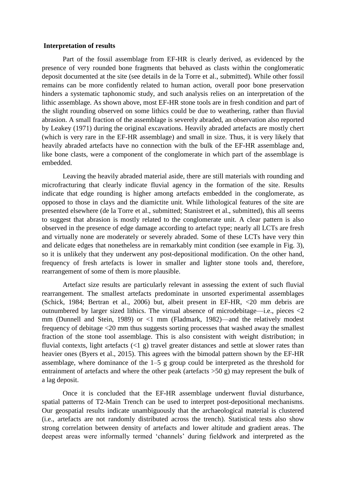#### **Interpretation of results**

Part of the fossil assemblage from EF-HR is clearly derived, as evidenced by the presence of very rounded bone fragments that behaved as clasts within the conglomeratic deposit documented at the site (see details in de la Torre et al., submitted). While other fossil remains can be more confidently related to human action, overall poor bone preservation hinders a systematic taphonomic study, and such analysis relies on an interpretation of the lithic assemblage. As shown above, most EF-HR stone tools are in fresh condition and part of the slight rounding observed on some lithics could be due to weathering, rather than fluvial abrasion. A small fraction of the assemblage is severely abraded, an observation also reported by Leakey (1971) during the original excavations. Heavily abraded artefacts are mostly chert (which is very rare in the EF-HR assemblage) and small in size. Thus, it is very likely that heavily abraded artefacts have no connection with the bulk of the EF-HR assemblage and, like bone clasts, were a component of the conglomerate in which part of the assemblage is embedded.

Leaving the heavily abraded material aside, there are still materials with rounding and microfracturing that clearly indicate fluvial agency in the formation of the site. Results indicate that edge rounding is higher among artefacts embedded in the conglomerate, as opposed to those in clays and the diamictite unit. While lithological features of the site are presented elsewhere (de la Torre et al., submitted; Stanistreet et al., submitted), this all seems to suggest that abrasion is mostly related to the conglomerate unit. A clear pattern is also observed in the presence of edge damage according to artefact type; nearly all LCTs are fresh and virtually none are moderately or severely abraded. Some of these LCTs have very thin and delicate edges that nonetheless are in remarkably mint condition (see example in Fig. 3), so it is unlikely that they underwent any post-depositional modification. On the other hand, frequency of fresh artefacts is lower in smaller and lighter stone tools and, therefore, rearrangement of some of them is more plausible.

Artefact size results are particularly relevant in assessing the extent of such fluvial rearrangement. The smallest artefacts predominate in unsorted experimental assemblages (Schick, 1984; Bertran et al., 2006) but, albeit present in EF-HR, <20 mm debris are outnumbered by larger sized lithics. The virtual absence of microdebitage—i.e., pieces <2 mm (Dunnell and Stein, 1989) or <1 mm (Fladmark, 1982)—and the relatively modest frequency of debitage <20 mm thus suggests sorting processes that washed away the smallest fraction of the stone tool assemblage. This is also consistent with weight distribution; in fluvial contexts, light artefacts (<1 g) travel greater distances and settle at slower rates than heavier ones (Byers et al., 2015). This agrees with the bimodal pattern shown by the EF-HR assemblage, where dominance of the 1–5 g group could be interpreted as the threshold for entrainment of artefacts and where the other peak (artefacts >50 g) may represent the bulk of a lag deposit.

Once it is concluded that the EF-HR assemblage underwent fluvial disturbance, spatial patterns of T2-Main Trench can be used to interpret post-depositional mechanisms. Our geospatial results indicate unambiguously that the archaeological material is clustered (i.e., artefacts are not randomly distributed across the trench). Statistical tests also show strong correlation between density of artefacts and lower altitude and gradient areas. The deepest areas were informally termed 'channels' during fieldwork and interpreted as the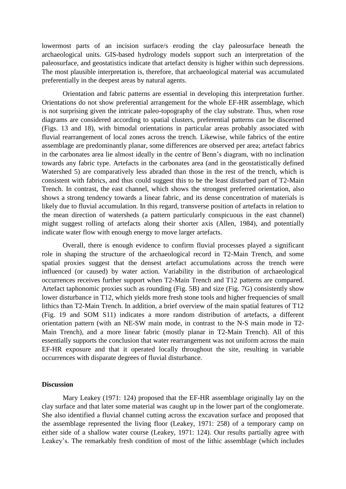lowermost parts of an incision surface/s eroding the clay paleosurface beneath the archaeological units. GIS-based hydrology models support such an interpretation of the paleosurface, and geostatistics indicate that artefact density is higher within such depressions. The most plausible interpretation is, therefore, that archaeological material was accumulated preferentially in the deepest areas by natural agents.

Orientation and fabric patterns are essential in developing this interpretation further. Orientations do not show preferential arrangement for the whole EF-HR assemblage, which is not surprising given the intricate paleo-topography of the clay substrate. Thus, when rose diagrams are considered according to spatial clusters, preferential patterns can be discerned (Figs. 13 and 18), with bimodal orientations in particular areas probably associated with fluvial rearrangement of local zones across the trench. Likewise, while fabrics of the entire assemblage are predominantly planar, some differences are observed per area; artefact fabrics in the carbonates area lie almost ideally in the centre of Benn's diagram, with no inclination towards any fabric type. Artefacts in the carbonates area (and in the geostatistically defined Watershed 5) are comparatively less abraded than those in the rest of the trench, which is consistent with fabrics, and thus could suggest this to be the least disturbed part of T2-Main Trench. In contrast, the east channel, which shows the strongest preferred orientation, also shows a strong tendency towards a linear fabric, and its dense concentration of materials is likely due to fluvial accumulation. In this regard, transverse position of artefacts in relation to the mean direction of watersheds (a pattern particularly conspicuous in the east channel) might suggest rolling of artefacts along their shorter axis (Allen, 1984), and potentially indicate water flow with enough energy to move larger artefacts.

Overall, there is enough evidence to confirm fluvial processes played a significant role in shaping the structure of the archaeological record in T2-Main Trench, and some spatial proxies suggest that the densest artefact accumulations across the trench were influenced (or caused) by water action. Variability in the distribution of archaeological occurrences receives further support when T2-Main Trench and T12 patterns are compared. Artefact taphonomic proxies such as rounding (Fig. 5B) and size (Fig. 7G) consistently show lower disturbance in T12, which yields more fresh stone tools and higher frequencies of small lithics than T2-Main Trench. In addition, a brief overview of the main spatial features of T12 (Fig. 19 and SOM S11) indicates a more random distribution of artefacts, a different orientation pattern (with an NE-SW main mode, in contrast to the N-S main mode in T2- Main Trench), and a more linear fabric (mostly planar in T2-Main Trench). All of this essentially supports the conclusion that water rearrangement was not uniform across the main EF-HR exposure and that it operated locally throughout the site, resulting in variable occurrences with disparate degrees of fluvial disturbance.

#### **Discussion**

Mary Leakey (1971: 124) proposed that the EF-HR assemblage originally lay on the clay surface and that later some material was caught up in the lower part of the conglomerate. She also identified a fluvial channel cutting across the excavation surface and proposed that the assemblage represented the living floor (Leakey, 1971: 258) of a temporary camp on either side of a shallow water course (Leakey, 1971: 124). Our results partially agree with Leakey's. The remarkably fresh condition of most of the lithic assemblage (which includes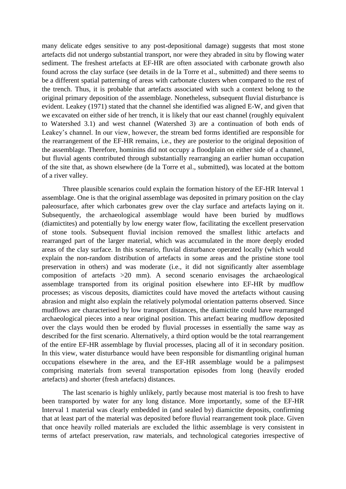many delicate edges sensitive to any post-depositional damage) suggests that most stone artefacts did not undergo substantial transport, nor were they abraded in situ by flowing water sediment. The freshest artefacts at EF-HR are often associated with carbonate growth also found across the clay surface (see details in de la Torre et al., submitted) and there seems to be a different spatial patterning of areas with carbonate clusters when compared to the rest of the trench. Thus, it is probable that artefacts associated with such a context belong to the original primary deposition of the assemblage. Nonetheless, subsequent fluvial disturbance is evident. Leakey (1971) stated that the channel she identified was aligned E-W, and given that we excavated on either side of her trench, it is likely that our east channel (roughly equivalent to Watershed 3.1) and west channel (Watershed 3) are a continuation of both ends of Leakey's channel. In our view, however, the stream bed forms identified are responsible for the rearrangement of the EF-HR remains, i.e., they are posterior to the original deposition of the assemblage. Therefore, hominins did not occupy a floodplain on either side of a channel, but fluvial agents contributed through substantially rearranging an earlier human occupation of the site that, as shown elsewhere (de la Torre et al., submitted), was located at the bottom of a river valley.

Three plausible scenarios could explain the formation history of the EF-HR Interval 1 assemblage. One is that the original assemblage was deposited in primary position on the clay paleosurface, after which carbonates grew over the clay surface and artefacts laying on it. Subsequently, the archaeological assemblage would have been buried by mudflows (diamictites) and potentially by low energy water flow, facilitating the excellent preservation of stone tools. Subsequent fluvial incision removed the smallest lithic artefacts and rearranged part of the larger material, which was accumulated in the more deeply eroded areas of the clay surface. In this scenario, fluvial disturbance operated locally (which would explain the non-random distribution of artefacts in some areas and the pristine stone tool preservation in others) and was moderate (i.e., it did not significantly alter assemblage composition of artefacts >20 mm). A second scenario envisages the archaeological assemblage transported from its original position elsewhere into EF-HR by mudflow processes; as viscous deposits, diamictites could have moved the artefacts without causing abrasion and might also explain the relatively polymodal orientation patterns observed. Since mudflows are characterised by low transport distances, the diamictite could have rearranged archaeological pieces into a near original position. This artefact bearing mudflow deposited over the clays would then be eroded by fluvial processes in essentially the same way as described for the first scenario. Alternatively, a third option would be the total rearrangement of the entire EF-HR assemblage by fluvial processes, placing all of it in secondary position. In this view, water disturbance would have been responsible for dismantling original human occupations elsewhere in the area, and the EF-HR assemblage would be a palimpsest comprising materials from several transportation episodes from long (heavily eroded artefacts) and shorter (fresh artefacts) distances.

The last scenario is highly unlikely, partly because most material is too fresh to have been transported by water for any long distance. More importantly, some of the EF-HR Interval 1 material was clearly embedded in (and sealed by) diamictite deposits, confirming that at least part of the material was deposited before fluvial rearrangement took place. Given that once heavily rolled materials are excluded the lithic assemblage is very consistent in terms of artefact preservation, raw materials, and technological categories irrespective of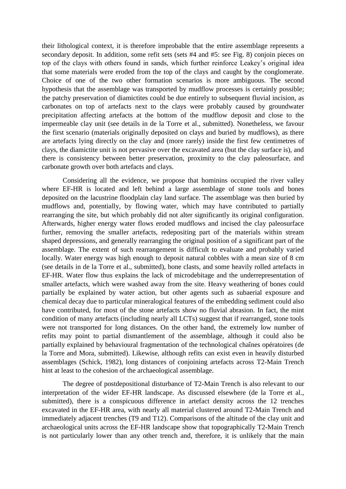their lithological context, it is therefore improbable that the entire assemblage represents a secondary deposit. In addition, some refit sets (sets #4 and #5: see Fig. 8) conjoin pieces on top of the clays with others found in sands, which further reinforce Leakey's original idea that some materials were eroded from the top of the clays and caught by the conglomerate. Choice of one of the two other formation scenarios is more ambiguous. The second hypothesis that the assemblage was transported by mudflow processes is certainly possible; the patchy preservation of diamictites could be due entirely to subsequent fluvial incision, as carbonates on top of artefacts next to the clays were probably caused by groundwater precipitation affecting artefacts at the bottom of the mudflow deposit and close to the impermeable clay unit (see details in de la Torre et al., submitted). Nonetheless, we favour the first scenario (materials originally deposited on clays and buried by mudflows), as there are artefacts lying directly on the clay and (more rarely) inside the first few centimetres of clays, the diamictite unit is not pervasive over the excavated area (but the clay surface is), and there is consistency between better preservation, proximity to the clay paleosurface, and carbonate growth over both artefacts and clays.

Considering all the evidence, we propose that hominins occupied the river valley where EF-HR is located and left behind a large assemblage of stone tools and bones deposited on the lacustrine floodplain clay land surface. The assemblage was then buried by mudflows and, potentially, by flowing water, which may have contributed to partially rearranging the site, but which probably did not alter significantly its original configuration. Afterwards, higher energy water flows eroded mudflows and incised the clay paleosurface further, removing the smaller artefacts, redepositing part of the materials within stream shaped depressions, and generally rearranging the original position of a significant part of the assemblage. The extent of such rearrangement is difficult to evaluate and probably varied locally. Water energy was high enough to deposit natural cobbles with a mean size of 8 cm (see details in de la Torre et al., submitted), bone clasts, and some heavily rolled artefacts in EF-HR. Water flow thus explains the lack of microdebitage and the underrepresentation of smaller artefacts, which were washed away from the site. Heavy weathering of bones could partially be explained by water action, but other agents such as subaerial exposure and chemical decay due to particular mineralogical features of the embedding sediment could also have contributed, for most of the stone artefacts show no fluvial abrasion. In fact, the mint condition of many artefacts (including nearly all LCTs) suggest that if rearranged, stone tools were not transported for long distances. On the other hand, the extremely low number of refits may point to partial dismantlement of the assemblage, although it could also be partially explained by behavioural fragmentation of the technological chaînes opératoires (de la Torre and Mora, submitted). Likewise, although refits can exist even in heavily disturbed assemblages (Schick, 1982), long distances of conjoining artefacts across T2-Main Trench hint at least to the cohesion of the archaeological assemblage.

The degree of postdepositional disturbance of T2-Main Trench is also relevant to our interpretation of the wider EF-HR landscape. As discussed elsewhere (de la Torre et al., submitted), there is a conspicuous difference in artefact density across the 12 trenches excavated in the EF-HR area, with nearly all material clustered around T2-Main Trench and immediately adjacent trenches (T9 and T12). Comparisons of the altitude of the clay unit and archaeological units across the EF-HR landscape show that topographically T2-Main Trench is not particularly lower than any other trench and, therefore, it is unlikely that the main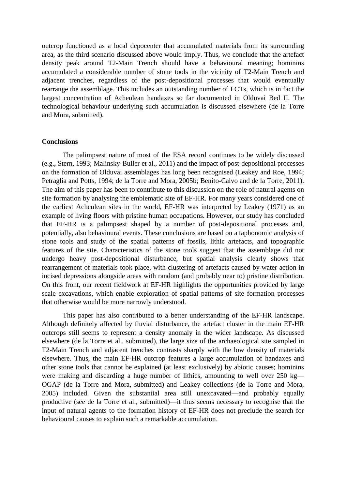outcrop functioned as a local depocenter that accumulated materials from its surrounding area, as the third scenario discussed above would imply. Thus, we conclude that the artefact density peak around T2-Main Trench should have a behavioural meaning; hominins accumulated a considerable number of stone tools in the vicinity of T2-Main Trench and adjacent trenches, regardless of the post-depositional processes that would eventually rearrange the assemblage. This includes an outstanding number of LCTs, which is in fact the largest concentration of Acheulean handaxes so far documented in Olduvai Bed II. The technological behaviour underlying such accumulation is discussed elsewhere (de la Torre and Mora, submitted).

#### **Conclusions**

The palimpsest nature of most of the ESA record continues to be widely discussed (e.g., Stern, 1993; Malinsky-Buller et al., 2011) and the impact of post-depositional processes on the formation of Olduvai assemblages has long been recognised (Leakey and Roe, 1994; Petraglia and Potts, 1994; de la Torre and Mora, 2005b; Benito-Calvo and de la Torre, 2011). The aim of this paper has been to contribute to this discussion on the role of natural agents on site formation by analysing the emblematic site of EF-HR. For many years considered one of the earliest Acheulean sites in the world, EF-HR was interpreted by Leakey (1971) as an example of living floors with pristine human occupations. However, our study has concluded that EF-HR is a palimpsest shaped by a number of post-depositional processes and, potentially, also behavioural events. These conclusions are based on a taphonomic analysis of stone tools and study of the spatial patterns of fossils, lithic artefacts, and topographic features of the site. Characteristics of the stone tools suggest that the assemblage did not undergo heavy post-depositional disturbance, but spatial analysis clearly shows that rearrangement of materials took place, with clustering of artefacts caused by water action in incised depressions alongside areas with random (and probably near to) pristine distribution. On this front, our recent fieldwork at EF-HR highlights the opportunities provided by large scale excavations, which enable exploration of spatial patterns of site formation processes that otherwise would be more narrowly understood.

This paper has also contributed to a better understanding of the EF-HR landscape. Although definitely affected by fluvial disturbance, the artefact cluster in the main EF-HR outcrops still seems to represent a density anomaly in the wider landscape. As discussed elsewhere (de la Torre et al., submitted), the large size of the archaeological site sampled in T2-Main Trench and adjacent trenches contrasts sharply with the low density of materials elsewhere. Thus, the main EF-HR outcrop features a large accumulation of handaxes and other stone tools that cannot be explained (at least exclusively) by abiotic causes; hominins were making and discarding a huge number of lithics, amounting to well over 250 kg— OGAP (de la Torre and Mora, submitted) and Leakey collections (de la Torre and Mora, 2005) included. Given the substantial area still unexcavated—and probably equally productive (see de la Torre et al., submitted)—it thus seems necessary to recognise that the input of natural agents to the formation history of EF-HR does not preclude the search for behavioural causes to explain such a remarkable accumulation.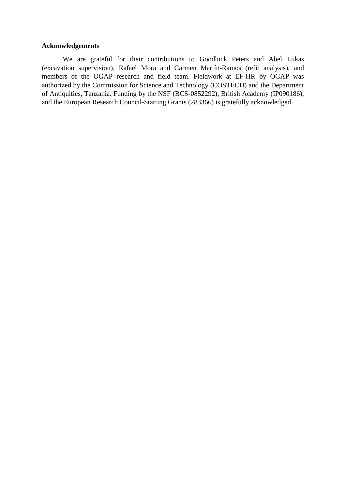## **Acknowledgements**

We are grateful for their contributions to Goodluck Peters and Abel Lukas (excavation supervision), Rafael Mora and Carmen Martín-Ramos (refit analysis), and members of the OGAP research and field team. Fieldwork at EF-HR by OGAP was authorized by the Commission for Science and Technology (COSTECH) and the Department of Antiquities, Tanzania. Funding by the NSF (BCS-0852292), British Academy (IP090186), and the European Research Council-Starting Grants (283366) is gratefully acknowledged.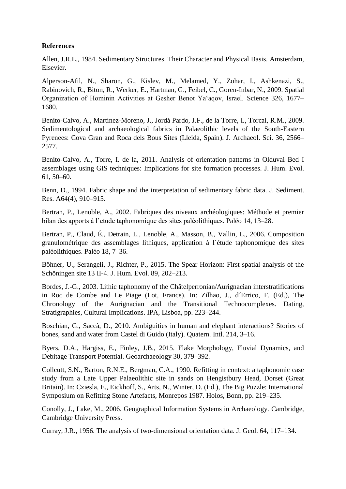# **References**

Allen, J.R.L., 1984. Sedimentary Structures. Their Character and Physical Basis. Amsterdam, Elsevier.

Alperson-Afil, N., Sharon, G., Kislev, M., Melamed, Y., Zohar, I., Ashkenazi, S., Rabinovich, R., Biton, R., Werker, E., Hartman, G., Feibel, C., Goren-Inbar, N., 2009. Spatial Organization of Hominin Activities at Gesher Benot Ya'aqov, Israel. Science 326, 1677– 1680.

Benito-Calvo, A., Martínez-Moreno, J., Jordá Pardo, J.F., de la Torre, I., Torcal, R.M., 2009. Sedimentological and archaeological fabrics in Palaeolithic levels of the South-Eastern Pyrenees: Cova Gran and Roca dels Bous Sites (Lleida, Spain). J. Archaeol. Sci. 36, 2566– 2577.

Benito-Calvo, A., Torre, I. de la, 2011. Analysis of orientation patterns in Olduvai Bed I assemblages using GIS techniques: Implications for site formation processes. J. Hum. Evol. 61, 50–60.

Benn, D., 1994. Fabric shape and the interpretation of sedimentary fabric data. J. Sediment. Res. A64(4), 910–915.

Bertran, P., Lenoble, A., 2002. Fabriques des niveaux archéologiques: Méthode et premier bilan des apports à l'etude taphonomique des sites paléolithiques. Paléo 14, 13–28.

Bertran, P., Claud, É., Detrain, L., Lenoble, A., Masson, B., Vallin, L., 2006. Composition granulométrique des assemblages lithiques, application à l´étude taphonomique des sites paléolithiques. Paléo 18, 7–36.

Böhner, U., Serangeli, J., Richter, P., 2015. The Spear Horizon: First spatial analysis of the Schöningen site 13 II-4. J. Hum. Evol. 89, 202–213.

Bordes, J.-G., 2003. Lithic taphonomy of the Châtelperronian/Aurignacian interstratifications in Roc de Combe and Le Piage (Lot, France). In: Zilhao, J., d´Errico, F. (Ed.), The Chronology of the Aurignacian and the Transitional Technocomplexes. Dating, Stratigraphies, Cultural Implications. IPA, Lisboa, pp. 223–244.

Boschian, G., Saccà, D., 2010. Ambiguities in human and elephant interactions? Stories of bones, sand and water from Castel di Guido (Italy). Quatern. Intl. 214, 3–16.

Byers, D.A., Hargiss, E., Finley, J.B., 2015. Flake Morphology, Fluvial Dynamics, and Debitage Transport Potential. Geoarchaeology 30, 379–392.

Collcutt, S.N., Barton, R.N.E., Bergman, C.A., 1990. Refitting in context: a taphonomic case study from a Late Upper Palaeolithic site in sands on Hengistbury Head, Dorset (Great Britain). In: Cziesla, E., Eickhoff, S., Arts, N., Winter, D. (Ed.), The Big Puzzle: International Symposium on Refitting Stone Artefacts, Monrepos 1987. Holos, Bonn, pp. 219–235.

Conolly, J., Lake, M., 2006. Geographical Information Systems in Archaeology. Cambridge, Cambridge University Press.

Curray, J.R., 1956. The analysis of two-dimensional orientation data. J. Geol. 64, 117–134.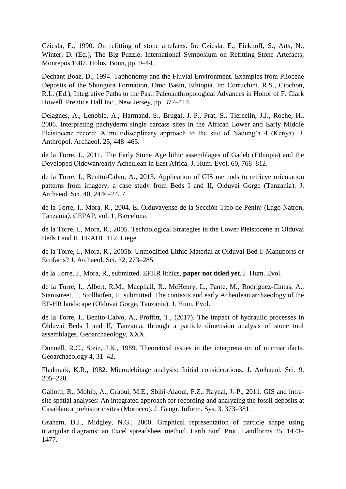Cziesla, E., 1990. On refitting of stone artefacts. In: Cziesla, E., Eickhoff, S., Arts, N., Winter, D. (Ed.), The Big Puzzle: International Symposium on Refitting Stone Artefacts, Monrepos 1987. Holos, Bonn, pp. 9–44.

Dechant Boaz, D., 1994. Taphonomy and the Fluvial Environment. Examples from Pliocene Deposits of the Shungura Formation, Omo Basin, Ethiopia. In: Corruchini, R.S., Ciochon, R.L. (Ed.), Integrative Paths to the Past. Paleoanthropological Advances in Honor of F. Clark Howell. Prentice Hall Inc., New Jersey, pp. 377–414.

Delagnes, A., Lenoble, A., Harmand, S., Brugal, J.-P., Prat, S., Tiercelin, J.J., Roche, H., 2006. Interpreting pachyderm single carcass sites in the African Lower and Early Middle Pleistocene record: A multidisciplinary approach to the site of Nadung'a 4 (Kenya). J. Anthropol. Archaeol. 25, 448–465.

de la Torre, I., 2011. The Early Stone Age lithic assemblages of Gadeb (Ethiopia) and the Developed Oldowan/early Acheulean in East Africa. J. Hum. Evol. 60, 768–812.

de la Torre, I., Benito-Calvo, A., 2013. Application of GIS methods to retrieve orientation patterns from imagery; a case study from Beds I and II, Olduvai Gorge (Tanzania). J. Archaeol. Sci. 40, 2446–2457.

de la Torre, I., Mora, R., 2004. El Olduvayense de la Sección Tipo de Peninj (Lago Natron, Tanzania*)*. CEPAP, vol. 1, Barcelona.

de la Torre, I., Mora, R., 2005. Technological Strategies in the Lower Pleistocene at Olduvai Beds I and II. ERAUL 112, Liege.

de la Torre, I., Mora, R., 2005b. Unmodified Lithic Material at Olduvai Bed I: Manuports or Ecofacts? J. Archaeol. Sci. 32, 273–285.

de la Torre, I., Mora, R., submitted. EFHR lithics, **paper not titled yet**. J. Hum. Evol.

de la Torre, I., Albert, R.M., Macphail, R., McHenry, L., Pante, M., Rodríguez-Cintas, A., Stanistreet, I., Stollhofen, H. submitted. The contexts and early Acheulean archaeology of the EF-HR landscape (Olduvai Gorge, Tanzania). J. Hum. Evol.

de la Torre, I., Benito-Calvo, A., Proffitt, T., (2017). The impact of hydraulic processes in Olduvai Beds I and II, Tanzania, through a particle dimension analysis of stone tool assemblages. Geoarchaeology, XXX.

Dunnell, R.C., Stein, J.K., 1989. Theoretical issues in the interpretation of microartifacts. Geoarchaeology 4, 31–42.

Fladmark, K.R., 1982. Microdebitage analysis: Initial considerations. J. Archaeol. Sci. 9, 205–220.

Gallotti, R., Mohib, A., Graoui, M.E., Sbihi-Alaoui, F.Z., Raynal, J.-P., 2011. GIS and intrasite spatial analyses: An integrated approach for recording and analyzing the fossil deposits at Casablanca prehistoric sites (Morocco). J. Geogr. Inform. Sys. 3, 373–381.

Graham, D.J., Midgley, N.G., 2000. Graphical representation of particle shape using triangular diagrams: an Excel spreadsheet method. Earth Surf. Proc. Landforms 25, 1473– 1477.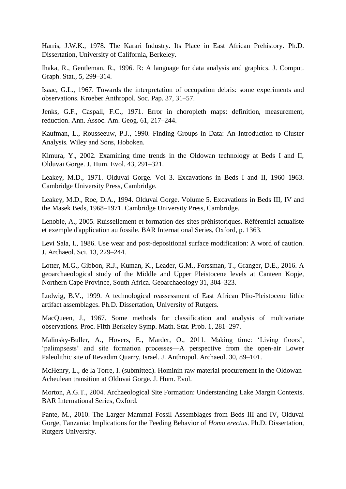Harris, J.W.K., 1978. The Karari Industry. Its Place in East African Prehistory. Ph.D. Dissertation, University of California, Berkeley.

Ihaka, R., Gentleman, R., 1996. R: A language for data analysis and graphics. J. Comput. Graph. Stat., 5, 299–314.

Isaac, G.L., 1967. Towards the interpretation of occupation debris: some experiments and observations. Kroeber Anthropol. Soc. Pap. 37, 31–57.

Jenks, G.F., Caspall, F.C., 1971. Error in choropleth maps: definition, measurement, reduction. Ann. Assoc. Am. Geog. 61, 217–244.

Kaufman, L., Rousseeuw, P.J., 1990. Finding Groups in Data: An Introduction to Cluster Analysis*.* Wiley and Sons, Hoboken.

Kimura, Y., 2002. Examining time trends in the Oldowan technology at Beds I and II, Olduvai Gorge. J. Hum. Evol. 43, 291–321.

Leakey, M.D., 1971. Olduvai Gorge. Vol 3. Excavations in Beds I and II, 1960–1963. Cambridge University Press, Cambridge.

Leakey, M.D., Roe, D.A., 1994. Olduvai Gorge. Volume 5. Excavations in Beds III, IV and the Masek Beds, 1968–1971. Cambridge University Press, Cambridge.

Lenoble, A., 2005. Ruissellement et formation des sites préhistoriques. Référentiel actualiste et exemple d'application au fossile. BAR International Series, Oxford, p. 1363.

Levi Sala, I., 1986. Use wear and post-depositional surface modification: A word of caution. J. Archaeol. Sci. 13, 229–244.

Lotter, M.G., Gibbon, R.J., Kuman, K., Leader, G.M., Forssman, T., Granger, D.E., 2016. A geoarchaeological study of the Middle and Upper Pleistocene levels at Canteen Kopje, Northern Cape Province, South Africa. Geoarchaeology 31, 304–323.

Ludwig, B.V., 1999. A technological reassessment of East African Plio-Pleistocene lithic artifact assemblages. Ph.D. Dissertation, University of Rutgers.

MacQueen, J., 1967. Some methods for classification and analysis of multivariate observations. Proc. Fifth Berkeley Symp. Math. Stat. Prob. 1, 281–297.

Malinsky-Buller, A., Hovers, E., Marder, O., 2011. Making time: 'Living floors', 'palimpsests' and site formation processes—A perspective from the open-air Lower Paleolithic site of Revadim Quarry, Israel. J. Anthropol. Archaeol. 30, 89–101.

McHenry, L., de la Torre, I. (submitted). Hominin raw material procurement in the Oldowan-Acheulean transition at Olduvai Gorge. J. Hum. Evol.

Morton, A.G.T., 2004. Archaeological Site Formation: Understanding Lake Margin Contexts. BAR International Series, Oxford.

Pante, M., 2010. The Larger Mammal Fossil Assemblages from Beds III and IV, Olduvai Gorge, Tanzania: Implications for the Feeding Behavior of *Homo erectus*. Ph.D. Dissertation, Rutgers University.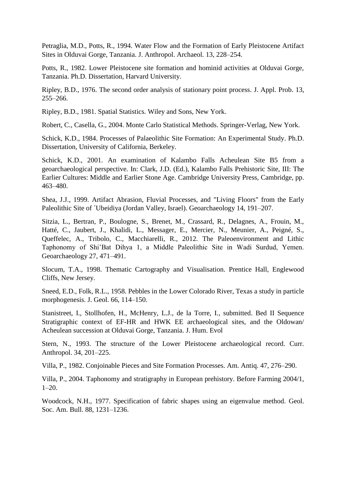Petraglia, M.D., Potts, R., 1994. Water Flow and the Formation of Early Pleistocene Artifact Sites in Olduvai Gorge, Tanzania. J. Anthropol. Archaeol. 13, 228–254.

Potts, R., 1982. Lower Pleistocene site formation and hominid activities at Olduvai Gorge, Tanzania. Ph.D. Dissertation, Harvard University.

Ripley, B.D., 1976. The second order analysis of stationary point process. J. Appl. Prob. 13, 255–266.

Ripley, B.D., 1981. Spatial Statistics*.* Wiley and Sons, New York.

Robert, C., Casella, G., 2004. Monte Carlo Statistical Methods. Springer-Verlag, New York.

Schick, K.D., 1984. Processes of Palaeolithic Site Formation: An Experimental Study. Ph.D. Dissertation, University of California, Berkeley.

Schick, K.D., 2001. An examination of Kalambo Falls Acheulean Site B5 from a geoarchaeological perspective. In: Clark, J.D. (Ed.), Kalambo Falls Prehistoric Site, III: The Earlier Cultures: Middle and Earlier Stone Age. Cambridge University Press, Cambridge, pp. 463–480.

Shea, J.J., 1999. Artifact Abrasion, Fluvial Processes, and "Living Floors" from the Early Paleolithic Site of ´Ubeidiya (Jordan Valley, Israel). Geoarchaeology 14, 191–207.

Sitzia, L., Bertran, P., Boulogne, S., Brenet, M., Crassard, R., Delagnes, A., Frouin, M., Hatté, C., Jaubert, J., Khalidi, L., Messager, E., Mercier, N., Meunier, A., Peigné, S., Queffelec, A., Tribolo, C., Macchiarelli, R., 2012. The Paleoenvironment and Lithic Taphonomy of Shi'Bat Dihya 1, a Middle Paleolithic Site in Wadi Surdud, Yemen. Geoarchaeology 27, 471–491.

Slocum, T.A., 1998. Thematic Cartography and Visualisation. Prentice Hall, Englewood Cliffs, New Jersey.

Sneed, E.D., Folk, R.L., 1958. Pebbles in the Lower Colorado River, Texas a study in particle morphogenesis. J. Geol. 66, 114–150.

Stanistreet, I., Stollhofen, H., McHenry, L.J., de la Torre, I., submitted. Bed II Sequence Stratigraphic context of EF-HR and HWK EE archaeological sites, and the Oldowan/ Acheulean succession at Olduvai Gorge, Tanzania. J. Hum. Evol

Stern, N., 1993. The structure of the Lower Pleistocene archaeological record. Curr. Anthropol. 34, 201–225.

Villa, P., 1982. Conjoinable Pieces and Site Formation Processes. Am. Antiq. 47, 276–290.

Villa, P., 2004. Taphonomy and stratigraphy in European prehistory. Before Farming 2004/1, 1–20.

Woodcock, N.H., 1977. Specification of fabric shapes using an eigenvalue method. Geol. Soc. Am. Bull. 88, 1231–1236.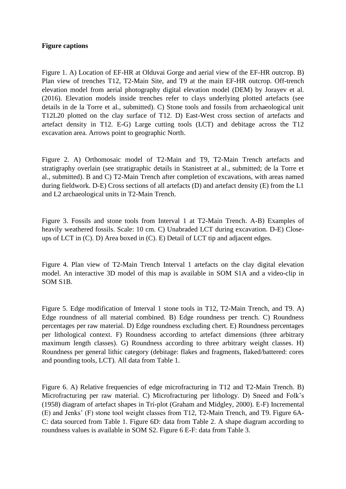## **Figure captions**

Figure 1. A) Location of EF-HR at Olduvai Gorge and aerial view of the EF-HR outcrop. B) Plan view of trenches T12, T2-Main Site, and T9 at the main EF-HR outcrop. Off-trench elevation model from aerial photography digital elevation model (DEM) by Jorayev et al. (2016). Elevation models inside trenches refer to clays underlying plotted artefacts (see details in de la Torre et al., submitted). C) Stone tools and fossils from archaeological unit T12L20 plotted on the clay surface of T12. D) East-West cross section of artefacts and artefact density in T12. E-G) Large cutting tools (LCT) and debitage across the T12 excavation area. Arrows point to geographic North.

Figure 2. A) Orthomosaic model of T2-Main and T9, T2-Main Trench artefacts and stratigraphy overlain (see stratigraphic details in Stanistreet at al., submitted; de la Torre et al., submitted). B and C) T2-Main Trench after completion of excavations, with areas named during fieldwork. D-E) Cross sections of all artefacts (D) and artefact density (E) from the L1 and L2 archaeological units in T2-Main Trench.

Figure 3. Fossils and stone tools from Interval 1 at T2-Main Trench. A-B) Examples of heavily weathered fossils. Scale: 10 cm. C) Unabraded LCT during excavation. D-E) Closeups of LCT in (C). D) Area boxed in (C). E) Detail of LCT tip and adjacent edges.

Figure 4. Plan view of T2-Main Trench Interval 1 artefacts on the clay digital elevation model. An interactive 3D model of this map is available in SOM S1A and a video-clip in SOM S1B.

Figure 5. Edge modification of Interval 1 stone tools in T12, T2-Main Trench, and T9. A) Edge roundness of all material combined. B) Edge roundness per trench. C) Roundness percentages per raw material. D) Edge roundness excluding chert. E) Roundness percentages per lithological context. F) Roundness according to artefact dimensions (three arbitrary maximum length classes). G) Roundness according to three arbitrary weight classes. H) Roundness per general lithic category (debitage: flakes and fragments, flaked/battered: cores and pounding tools, LCT). All data from Table 1.

Figure 6. A) Relative frequencies of edge microfracturing in T12 and T2-Main Trench. B) Microfracturing per raw material. C) Microfracturing per lithology. D) Sneed and Folk's (1958) diagram of artefact shapes in Tri-plot (Graham and Midgley, 2000). E-F) Incremental (E) and Jenks' (F) stone tool weight classes from T12, T2-Main Trench, and T9. Figure 6A-C: data sourced from Table 1. Figure 6D: data from Table 2. A shape diagram according to roundness values is available in SOM S2. Figure 6 E-F: data from Table 3.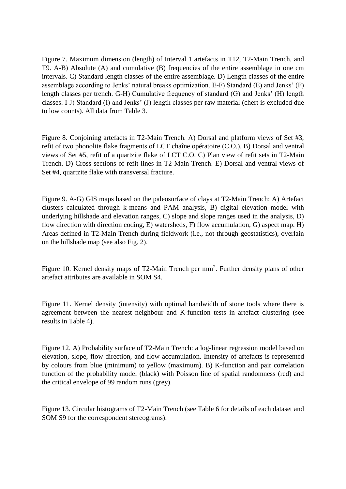Figure 7. Maximum dimension (length) of Interval 1 artefacts in T12, T2-Main Trench, and T9. A-B) Absolute (A) and cumulative (B) frequencies of the entire assemblage in one cm intervals. C) Standard length classes of the entire assemblage. D) Length classes of the entire assemblage according to Jenks' natural breaks optimization. E-F) Standard (E) and Jenks' (F) length classes per trench. G-H) Cumulative frequency of standard (G) and Jenks' (H) length classes. I-J) Standard (I) and Jenks' (J) length classes per raw material (chert is excluded due to low counts). All data from Table 3.

Figure 8. Conjoining artefacts in T2-Main Trench. A) Dorsal and platform views of Set #3, refit of two phonolite flake fragments of LCT chaîne opératoire (C.O.). B) Dorsal and ventral views of Set #5, refit of a quartzite flake of LCT C.O. C) Plan view of refit sets in T2-Main Trench. D) Cross sections of refit lines in T2-Main Trench. E) Dorsal and ventral views of Set #4, quartzite flake with transversal fracture.

Figure 9. A-G) GIS maps based on the paleosurface of clays at T2-Main Trench: A) Artefact clusters calculated through k-means and PAM analysis, B) digital elevation model with underlying hillshade and elevation ranges, C) slope and slope ranges used in the analysis, D) flow direction with direction coding, E) watersheds, F) flow accumulation, G) aspect map. H) Areas defined in T2-Main Trench during fieldwork (i.e., not through geostatistics), overlain on the hillshade map (see also Fig. 2).

Figure 10. Kernel density maps of T2-Main Trench per mm<sup>2</sup>. Further density plans of other artefact attributes are available in SOM S4.

Figure 11. Kernel density (intensity) with optimal bandwidth of stone tools where there is agreement between the nearest neighbour and K-function tests in artefact clustering (see results in Table 4).

Figure 12. A) Probability surface of T2-Main Trench: a log-linear regression model based on elevation, slope, flow direction, and flow accumulation. Intensity of artefacts is represented by colours from blue (minimum) to yellow (maximum). B) K-function and pair correlation function of the probability model (black) with Poisson line of spatial randomness (red) and the critical envelope of 99 random runs (grey).

Figure 13. Circular histograms of T2-Main Trench (see Table 6 for details of each dataset and SOM S9 for the correspondent stereograms).